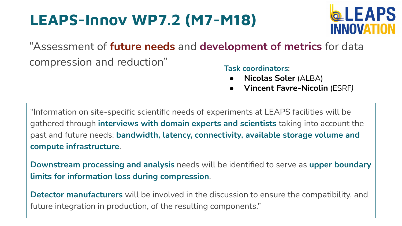## **LEAPS-Innov WP7.2 (M7-M18)**



"Assessment of **future needs** and **development of metrics** for data compression and reduction" **Task coordinators**:

- **Nicolas Soler** (ALBA)
- **Vincent Favre-Nicolin** (ESRF*)*

"Information on site-specific scientific needs of experiments at LEAPS facilities will be gathered through **interviews with domain experts and scientists** taking into account the past and future needs: **bandwidth, latency, connectivity, available storage volume and compute infrastructure**.

**Downstream processing and analysis** needs will be identified to serve as **upper boundary limits for information loss during compression**.

**Detector manufacturers** will be involved in the discussion to ensure the compatibility, and future integration in production, of the resulting components."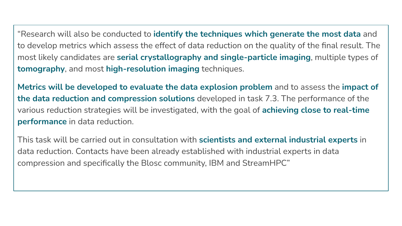"Research will also be conducted to **identify the techniques which generate the most data** and to develop metrics which assess the effect of data reduction on the quality of the final result. The most likely candidates are **serial crystallography and single-particle imaging**, multiple types of **tomography**, and most **high-resolution imaging** techniques.

**Metrics will be developed to evaluate the data explosion problem** and to assess the **impact of the data reduction and compression solutions** developed in task 7.3. The performance of the various reduction strategies will be investigated, with the goal of **achieving close to real-time performance** in data reduction.

This task will be carried out in consultation with **scientists and external industrial experts** in data reduction. Contacts have been already established with industrial experts in data compression and specifically the Blosc community, IBM and StreamHPC"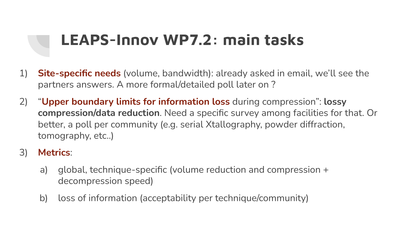## **LEAPS-Innov WP7.2: main tasks**

- 1) **Site-specific needs** (volume, bandwidth): already asked in email, we'll see the partners answers. A more formal/detailed poll later on ?
- 2) "**Upper boundary limits for information loss** during compression": **lossy compression/data reduction**. Need a specific survey among facilities for that. Or better, a poll per community (e.g. serial Xtallography, powder diffraction, tomography, etc..)
- 3) **Metrics**:
	- a) global, technique-specific (volume reduction and compression + decompression speed)
	- b) loss of information (acceptability per technique/community)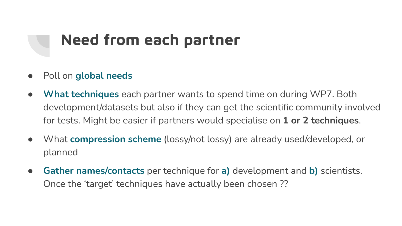## **Need from each partner**

- Poll on **global needs**
- **What techniques** each partner wants to spend time on during WP7. Both development/datasets but also if they can get the scientific community involved for tests. Might be easier if partners would specialise on **1 or 2 techniques**.
- What **compression scheme** (lossy/not lossy) are already used/developed, or planned
- **Gather names/contacts** per technique for **a)** development and **b)** scientists. Once the 'target' techniques have actually been chosen ??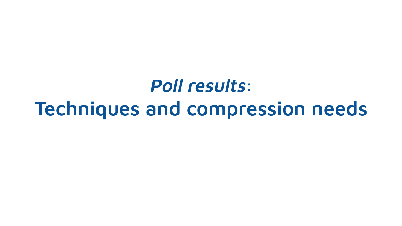**Poll results: Techniques and compression needs**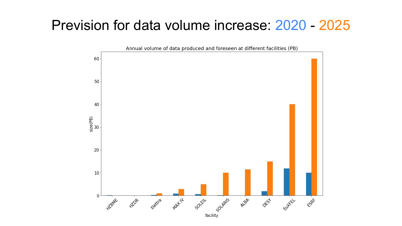### Prevision for data volume increase: 2020 - 2025

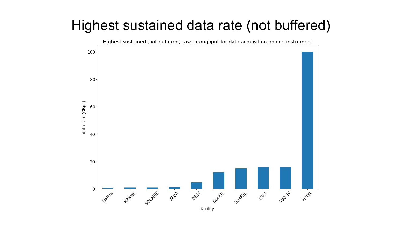### Highest sustained data rate (not buffered)

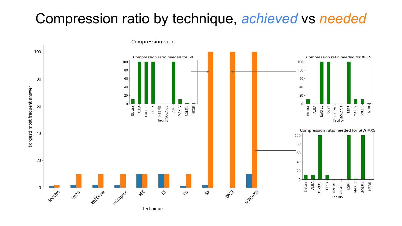### Compression ratio by technique, *achieved* vs *needed*

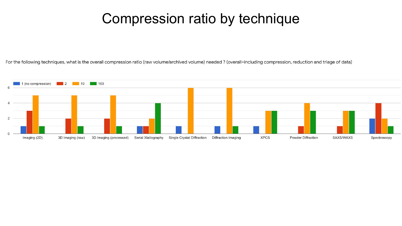### Compression ratio by technique

For the following techniques, what is the overall compression ratio (raw volume/archived volume) needed ? (overall=including compression, reduction and triage of data)

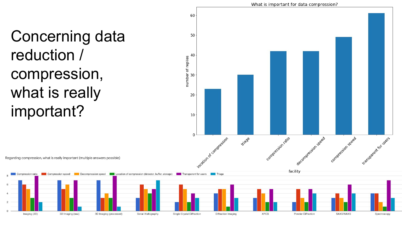Concerning data reduction / compression, what is really important?



Spectroscopy

Regarding compression, what is really important (multiple answers possible)

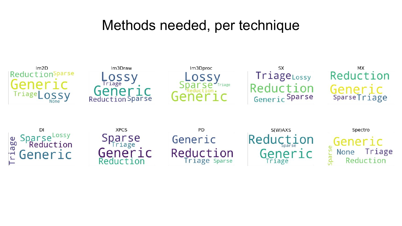### Methods needed, per technique

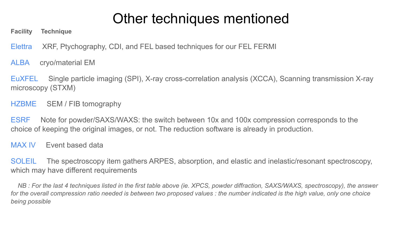## Other techniques mentioned

**Facility Technique**

Elettra XRF, Ptychography, CDI, and FEL based techniques for our FEL FERMI

ALBA cryo/material EM

EuXFEL Single particle imaging (SPI), X-ray cross-correlation analysis (XCCA), Scanning transmission X-ray microscopy (STXM)

HZBME SEM / FIB tomography

ESRF Note for powder/SAXS/WAXS: the switch between 10x and 100x compression corresponds to the choice of keeping the original images, or not. The reduction software is already in production.

MAX IV Event based data

SOLEIL The spectroscopy item gathers ARPES, absorption, and elastic and inelastic/resonant spectroscopy, which may have different requirements

 *NB : For the last 4 techniques listed in the first table above (ie. XPCS, powder diffraction, SAXS/WAXS, spectroscopy), the answer for the overall compression ratio needed is between two proposed values : the number indicated is the high value, only one choice being possible*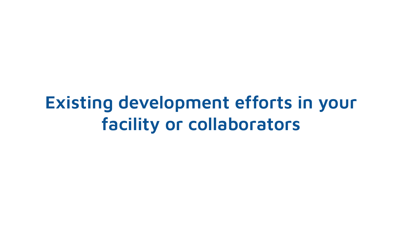# **Existing development efforts in your facility or collaborators**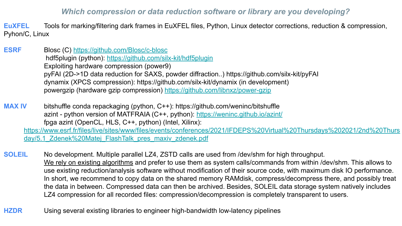#### *Which compression or data reduction software or library are you developing?*

**EuXFEL** Tools for marking/filtering dark frames in EuXFEL files, Python, Linux detector corrections, reduction & compression, Pyhon/C, Linux

- **ESRF Blosc (C)<https://github.com/Blosc/c-blosc>**  hdf5plugin (python):<https://github.com/silx-kit/hdf5plugin> Exploiting hardware compression (power9) pyFAI (2D->1D data reduction for SAXS, powder diffraction..) https://github.com/silx-kit/pyFAI dynamix (XPCS compression): https://github.com/silx-kit/dynamix (in development) powergzip (hardware gzip compression) <https://github.com/libnxz/power-gzip>
- **MAX IV** bitshuffle conda repackaging (python, C++): https://github.com/weninc/bitshuffle azint - python version of MATFRAIA (C++, python): <https://weninc.github.io/azint/> fpga azint (OpenCL, HLS, C++, python) (Intel, Xilinx): [https://www.esrf.fr/files/live/sites/www/files/events/conferences/2021/IFDEPS%20Virtual%20Thursdays%202021/2nd%20Thurs](https://www.esrf.fr/files/live/sites/www/files/events/conferences/2021/IFDEPS%20Virtual%20Thursdays%202021/2nd%20Thursday/5.1_Zdenek%20Matej_FlashTalk_pres_maxiv_zdenek.pdf) [day/5.1\\_Zdenek%20Matej\\_FlashTalk\\_pres\\_maxiv\\_zdenek.pdf](https://www.esrf.fr/files/live/sites/www/files/events/conferences/2021/IFDEPS%20Virtual%20Thursdays%202021/2nd%20Thursday/5.1_Zdenek%20Matej_FlashTalk_pres_maxiv_zdenek.pdf)
- **SOLEIL** No development. Multiple parallel LZ4, ZSTD calls are used from /dev/shm for high throughput. We rely on existing algorithms and prefer to use them as system calls/commands from within /dev/shm. This allows to use existing reduction/analysis software without modification of their source code, with maximum disk IO performance. In short, we recommend to copy data on the shared memory RAMdisk, compress/decompress there, and possibly treat the data in between. Compressed data can then be archived. Besides, SOLEIL data storage system natively includes LZ4 compression for all recorded files: compression/decompression is completely transparent to users.
- **HZDR** Using several existing libraries to engineer high-bandwidth low-latency pipelines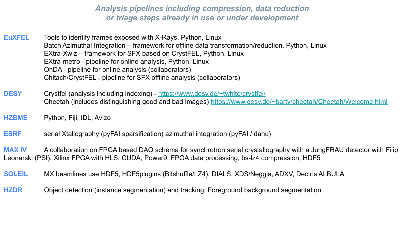*Analysis pipelines including compression, data reduction or triage steps already in use or under development*

- **EuXFEL** Tools to identify frames exposed with X-Rays, Python, Linux Batch Azimuthal Integration – framework for offline data transformation/reduction, Python, Linux EXtra-Xwiz – framework for SFX based on CrystFEL, Python, Linux EXtra-metro - pipeline for online analysis, Python, Linux OnDA - pipeline for online analysis (collaborators) Chitach/CrystFEL - pipeline for SFX offline analysis (collaborators)
- **DESY** Crystfel (analysis including indexing) <https://www.desy.de/~twhite/crystfel/> Cheetah (includes distinguishing good and bad images) <https://www.desy.de/~barty/cheetah/Cheetah/Welcome.html>
- **HZBME** Python, Fiji, IDL, Avizo
- **ESRF** serial Xtallography (pyFAI sparsification) azimuthal integration (pyFAI / dahu)

**MAX IV** A collaboration on FPGA based DAQ schema for synchrotron serial crystallography with a JungFRAU detector with Filip Leonarski (PSI): Xilinx FPGA with HLS, CUDA, Power9, FPGA data processing, bs-lz4 compression, HDF5

- **SOLEIL** MX beamlines use HDF5, HDF5plugins (Bitshuffle/LZ4), DIALS, XDS/Neggia, ADXV, Dectris ALBULA
- **HZDR** Object detection (instance segmentation) and tracking; Foreground background segmentation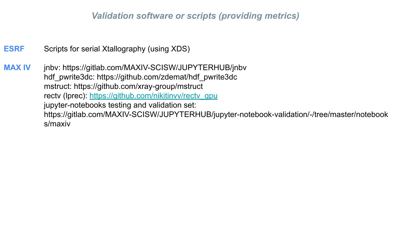#### *Validation software or scripts (providing metrics)*

**ESRF** Scripts for serial Xtallography (using XDS)

**MAX IV** jnbv: https://gitlab.com/MAXIV-SCISW/JUPYTERHUB/jnbv hdf\_pwrite3dc: https://github.com/zdemat/hdf\_pwrite3dc mstruct: https://github.com/xray-group/mstruct rectv (Iprec): [https://github.com/nikitinvv/rectv\\_gpu](https://github.com/nikitinvv/rectv_gpu) jupyter-notebooks testing and validation set: https://gitlab.com/MAXIV-SCISW/JUPYTERHUB/jupyter-notebook-validation/-/tree/master/notebook s/maxiv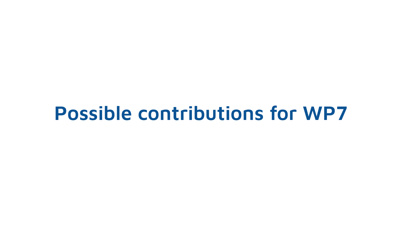# **Possible contributions for WP7**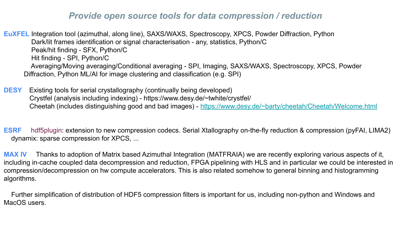#### *Provide open source tools for data compression / reduction*

**EuXFEL** Integration tool (azimuthal, along line), SAXS/WAXS, Spectroscopy, XPCS, Powder Diffraction, Python Dark/lit frames identification or signal characterisation - any, statistics, Python/C Peak/hit finding - SFX, Python/C Hit finding - SPI, Python/C Averaging/Moving averaging/Conditional averaging - SPI, Imaging, SAXS/WAXS, Spectroscopy, XPCS, Powder Diffraction, Python ML/AI for image clustering and classification (e.g. SPI)

**DESY** Existing tools for serial crystallography (continually being developed) Crystfel (analysis including indexing) - https://www.desy.de/~twhite/crystfel/ Cheetah (includes distinguishing good and bad images) - <https://www.desy.de/~barty/cheetah/Cheetah/Welcome.html>

**ESRF** hdf5plugin: extension to new compression codecs. Serial Xtallography on-the-fly reduction & compression (pyFAI, LIMA2) dynamix: sparse compression for XPCS, ...

**MAX IV** Thanks to adoption of Matrix based Azimuthal Integration (MATFRAIA) we are recently exploring various aspects of it, including in-cache coupled data decompression and reduction, FPGA pipelining with HLS and in particular we could be interested in compression/decompression on hw compute accelerators. This is also related somehow to general binning and histogramming algorithms.

 Further simplification of distribution of HDF5 compression filters is important for us, including non-python and Windows and MacOS users.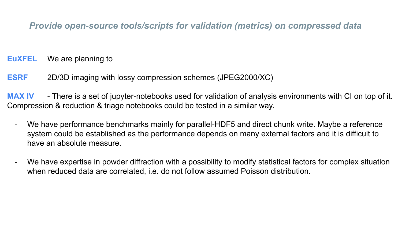### *Provide open-source tools/scripts for validation (metrics) on compressed data*

**EuXFEL** We are planning to

**ESRF** 2D/3D imaging with lossy compression schemes (JPEG2000/XC)

**MAX IV** - There is a set of jupyter-notebooks used for validation of analysis environments with CI on top of it. Compression & reduction & triage notebooks could be tested in a similar way.

- We have performance benchmarks mainly for parallel-HDF5 and direct chunk write. Maybe a reference system could be established as the performance depends on many external factors and it is difficult to have an absolute measure.
- We have expertise in powder diffraction with a possibility to modify statistical factors for complex situation when reduced data are correlated, i.e. do not follow assumed Poisson distribution.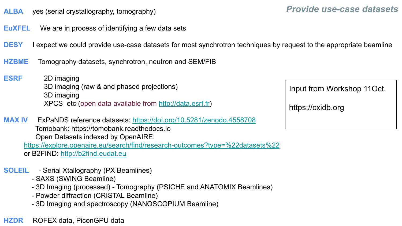- **ALBA** yes (serial crystallography, tomography)
- **EuXFEL** We are in process of identifying a few data sets
- **DESY** I expect we could provide use-case datasets for most synchrotron techniques by request to the appropriate beamline
- **HZBME** Tomography datasets, synchrotron, neutron and SEM/FIB
- **ESRF** 2D imaging 3D imaging (raw & and phased projections) 3D imaging XPCS etc (open data available from<http://data.esrf.fr>)
- **MAX IV** ExPaNDS reference datasets:<https://doi.org/10.5281/zenodo.4558708> Tomobank: https://tomobank.readthedocs.io Open Datasets indexed by OpenAIRE: <https://explore.openaire.eu/search/find/research-outcomes?type=%22datasets%22>

or B2FIND: <http://b2find.eudat.eu>

- **SOLEIL** Serial Xtallography (PX Beamlines)
	- SAXS (SWING Beamline)
	- 3D Imaging (processed) Tomography (PSICHE and ANATOMIX Beamlines)
	- Powder diffraction (CRISTAL Beamline)
	- 3D Imaging and spectroscopy (NANOSCOPIUM Beamline)

**HZDR** ROFEX data, PiconGPU data

Input from Workshop 11Oct.

https://cxidb.org

### *Provide use-case datasets*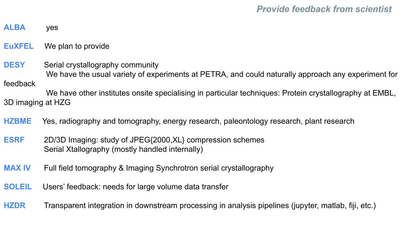#### **ALBA** yes

**EuXFEL** We plan to provide

**DESY** Serial crystallography community We have the usual variety of experiments at PETRA, and could naturally approach any experiment for feedback

We have other institutes onsite specialising in particular techniques: Protein crystallography at EMBL, 3D imaging at HZG

**HZBME** Yes, radiography and tomography, energy research, paleontology research, plant research

- **ESRF** 2D/3D Imaging: study of JPEG{2000,XL} compression schemes Serial Xtallography (mostly handled internally)
- **MAX IV** Full field tomography & Imaging Synchrotron serial crystallography
- **SOLEIL** Users' feedback: needs for large volume data transfer

**HZDR** Transparent integration in downstream processing in analysis pipelines (jupyter, matlab, fiji, etc.)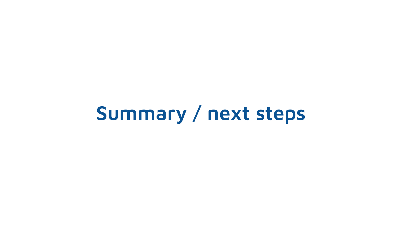# **Summary / next steps**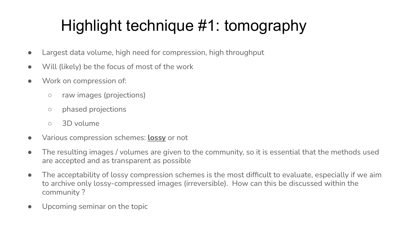# Highlight technique #1: tomography

- Largest data volume, high need for compression, high throughput
- Will (likely) be the focus of most of the work
- Work on compression of:
	- raw images (projections)
	- phased projections
	- 3D volume
- Various compression schemes: **lossy** or not
- The resulting images / volumes are given to the community, so it is essential that the methods used are accepted and as transparent as possible
- The acceptability of lossy compression schemes is the most difficult to evaluate, especially if we aim to archive only lossy-compressed images (irreversible). How can this be discussed within the community ?
- Upcoming seminar on the topic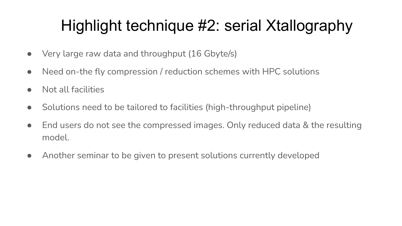# Highlight technique #2: serial Xtallography

- Very large raw data and throughput (16 Gbyte/s)
- Need on-the fly compression / reduction schemes with HPC solutions
- Not all facilities
- Solutions need to be tailored to facilities (high-throughput pipeline)
- End users do not see the compressed images. Only reduced data & the resulting model.
- Another seminar to be given to present solutions currently developed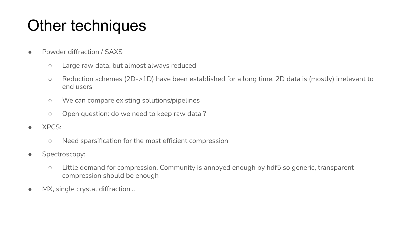## Other techniques

- Powder diffraction / SAXS
	- Large raw data, but almost always reduced
	- Reduction schemes (2D->1D) have been established for a long time. 2D data is (mostly) irrelevant to end users
	- We can compare existing solutions/pipelines
	- Open question: do we need to keep raw data ?
- XPCS:
	- Need sparsification for the most efficient compression
- Spectroscopy:
	- Little demand for compression. Community is annoyed enough by hdf5 so generic, transparent compression should be enough
- MX, single crystal diffraction...